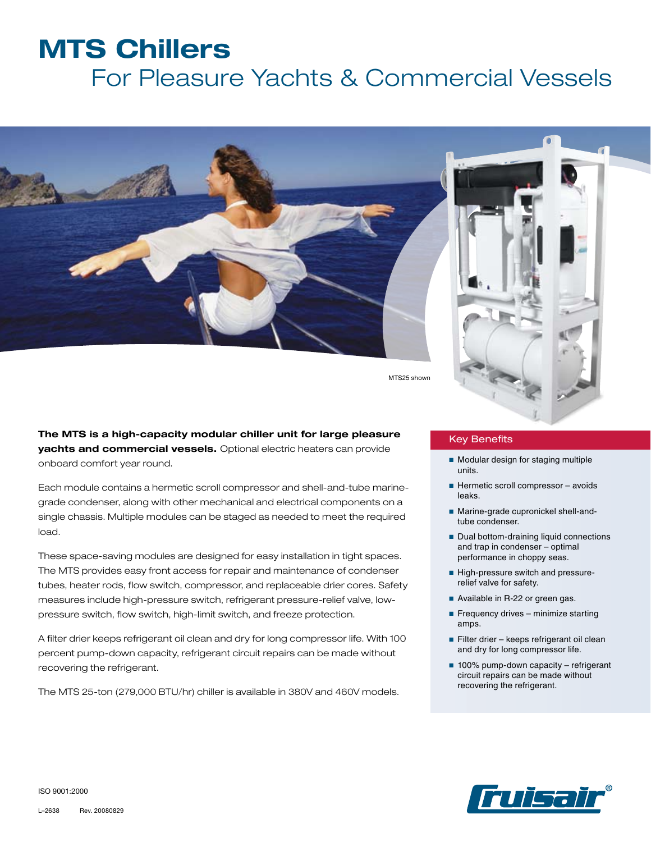## **MTS Chillers**

# For Pleasure Yachts & Commercial Vessels



MTS25 shown

**The MTS is a high-capacity modular chiller unit for large pleasure yachts and commercial vessels.** Optional electric heaters can provide onboard comfort year round.

Each module contains a hermetic scroll compressor and shell-and-tube marinegrade condenser, along with other mechanical and electrical components on a single chassis. Multiple modules can be staged as needed to meet the required load.

These space-saving modules are designed for easy installation in tight spaces. The MTS provides easy front access for repair and maintenance of condenser tubes, heater rods, flow switch, compressor, and replaceable drier cores. Safety measures include high-pressure switch, refrigerant pressure-relief valve, lowpressure switch, flow switch, high-limit switch, and freeze protection.

A filter drier keeps refrigerant oil clean and dry for long compressor life. With 100 percent pump-down capacity, refrigerant circuit repairs can be made without recovering the refrigerant.

The MTS 25-ton (279,000 BTU/hr) chiller is available in 380V and 460V models.

#### Key Benefits

- Modular design for staging multiple units.
- Hermetic scroll compressor avoids leaks.
- Marine-grade cupronickel shell-andtube condenser.
- Dual bottom-draining liquid connections and trap in condenser – optimal performance in choppy seas.
- High-pressure switch and pressurerelief valve for safety.
- Available in R-22 or green gas.
- Frequency drives minimize starting amps.
- Filter drier keeps refrigerant oil clean and dry for long compressor life.
- 100% pump-down capacity refrigerant circuit repairs can be made without recovering the refrigerant.



ISO 9001:2000